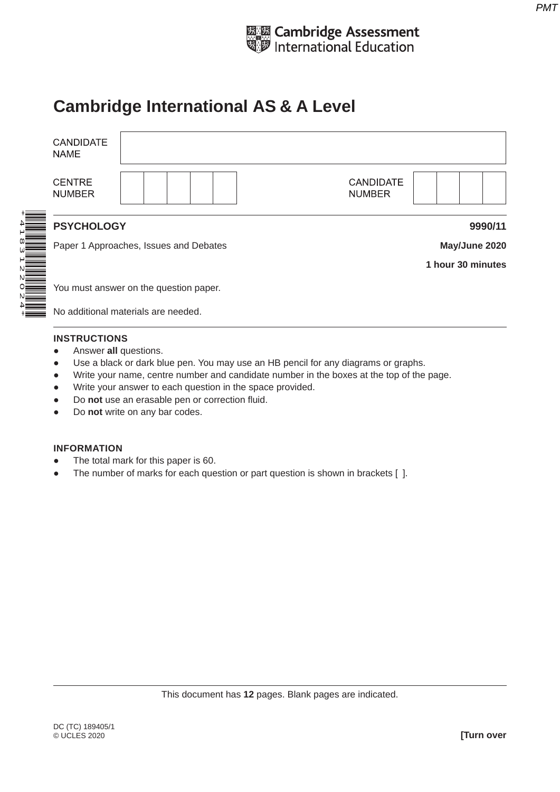

# **Cambridge International AS & A Level**

| <b>CANDIDATE</b><br><b>NAME</b>        |                                   |  |  |  |
|----------------------------------------|-----------------------------------|--|--|--|
| <b>CENTRE</b><br><b>NUMBER</b>         | <b>CANDIDATE</b><br><b>NUMBER</b> |  |  |  |
| <b>PSYCHOLOGY</b><br>9990/11           |                                   |  |  |  |
| Paper 1 Approaches, Issues and Debates | May/June 2020                     |  |  |  |
|                                        | 1 hour 30 minutes                 |  |  |  |
| You must answer on the question paper. |                                   |  |  |  |
| No additional materials are needed.    |                                   |  |  |  |

#### **INSTRUCTIONS**

- **•** Answer all questions.
- Use a black or dark blue pen. You may use an HB pencil for any diagrams or graphs.
- Write your name, centre number and candidate number in the boxes at the top of the page.
- Write your answer to each question in the space provided.
- Do **not** use an erasable pen or correction fluid.
- Do **not** write on any bar codes.

#### **INFORMATION**

- The total mark for this paper is 60.
- The number of marks for each question or part question is shown in brackets [ ].

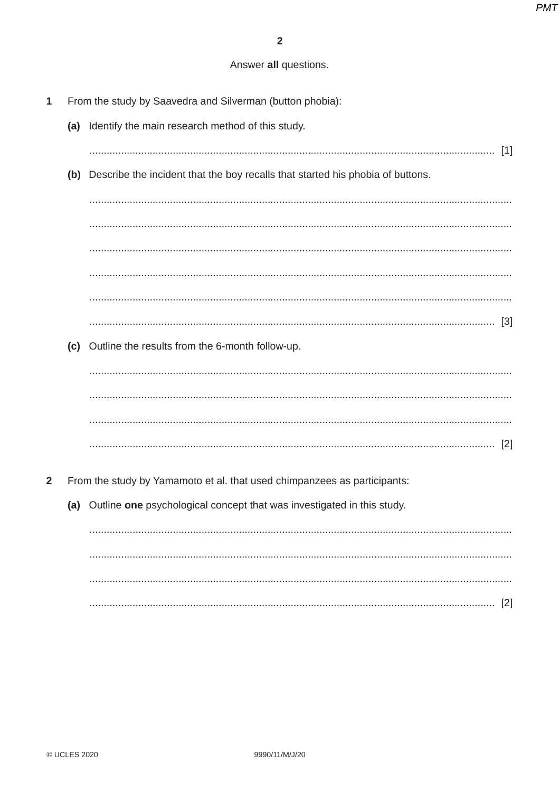## Answer all questions.

- From the study by Saavedra and Silverman (button phobia):  $\overline{1}$ 
	- (a) Identify the main research method of this study. (b) Describe the incident that the boy recalls that started his phobia of buttons. (c) Outline the results from the 6-month follow-up. From the study by Yamamoto et al. that used chimpanzees as participants: (a) Outline one psychological concept that was investigated in this study.

 $\overline{2}$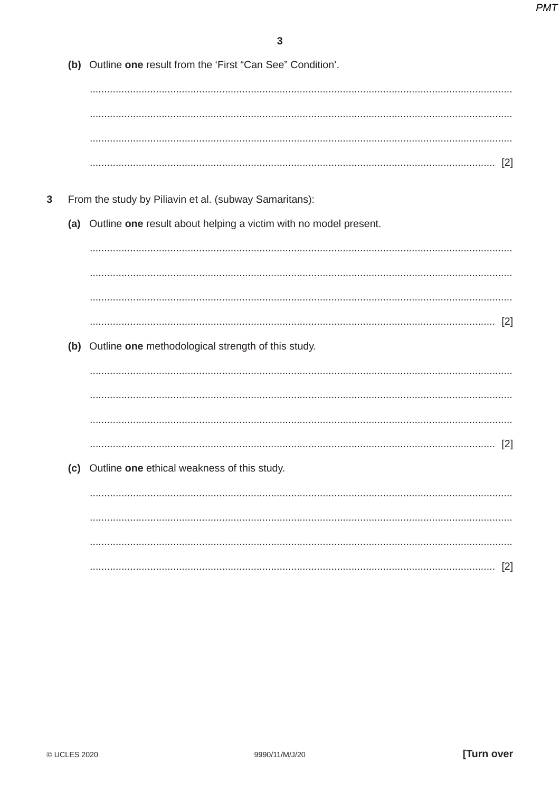|              |     | (b) Outline one result from the 'First "Can See" Condition'.         |
|--------------|-----|----------------------------------------------------------------------|
|              |     |                                                                      |
|              |     |                                                                      |
|              |     |                                                                      |
|              |     |                                                                      |
|              |     |                                                                      |
| $\mathbf{3}$ |     | From the study by Piliavin et al. (subway Samaritans):               |
|              |     | (a) Outline one result about helping a victim with no model present. |
|              |     |                                                                      |
|              |     |                                                                      |
|              |     |                                                                      |
|              |     |                                                                      |
|              |     | (b) Outline one methodological strength of this study.               |
|              |     |                                                                      |
|              |     |                                                                      |
|              |     |                                                                      |
|              |     |                                                                      |
|              | (c) | Outline one ethical weakness of this study.                          |
|              |     |                                                                      |
|              |     |                                                                      |
|              |     |                                                                      |
|              |     |                                                                      |
|              |     | $[2]$                                                                |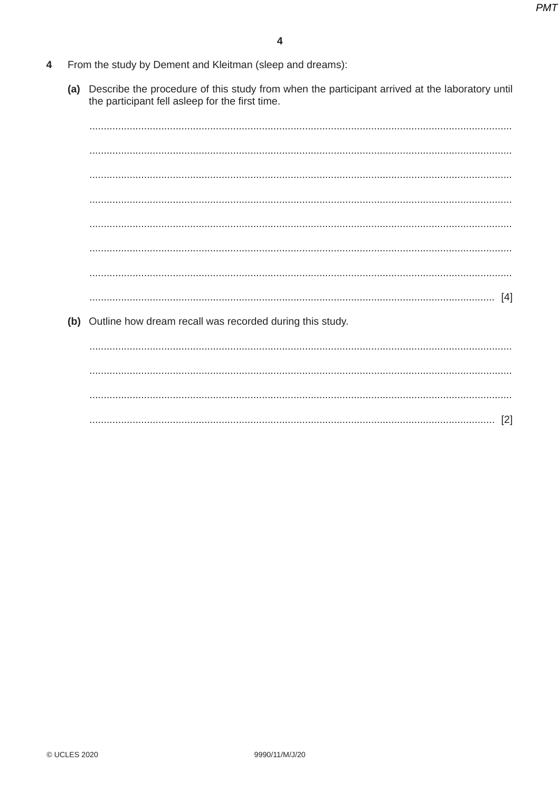- From the study by Dement and Kleitman (sleep and dreams):  $\overline{\mathbf{A}}$ 
	- (a) Describe the procedure of this study from when the participant arrived at the laboratory until the participant fell asleep for the first time.

(b) Outline how dream recall was recorded during this study.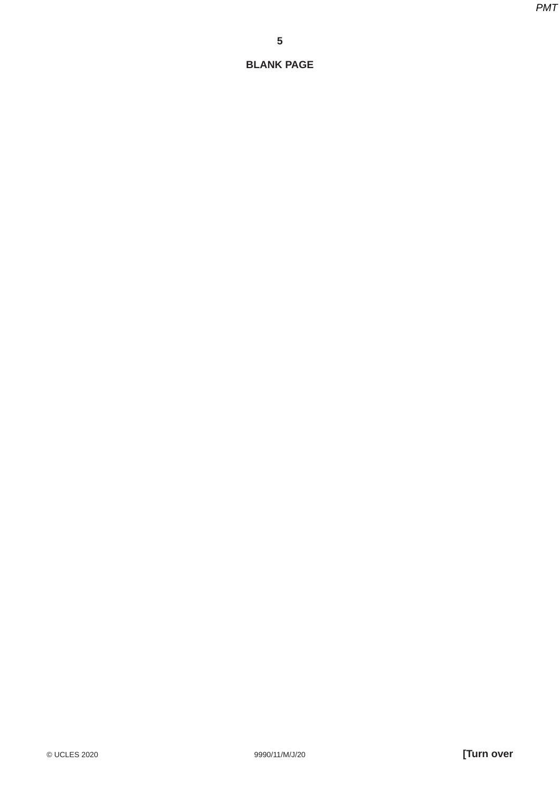## $\overline{\mathbf{5}}$

### **BLANK PAGE**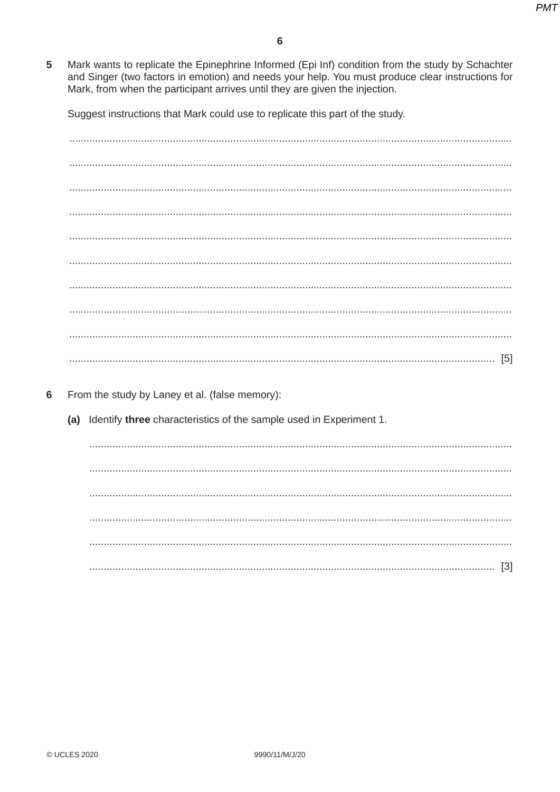5 Mark wants to replicate the Epinephrine Informed (Epi Inf) condition from the study by Schachter and Singer (two factors in emotion) and needs your help. You must produce clear instructions for Mark, from when the participant arrives until they are given the injection.

Suggest instructions that Mark could use to replicate this part of the study.

- $6\phantom{1}6$ From the study by Laney et al. (false memory):
	- (a) Identify three characteristics of the sample used in Experiment 1.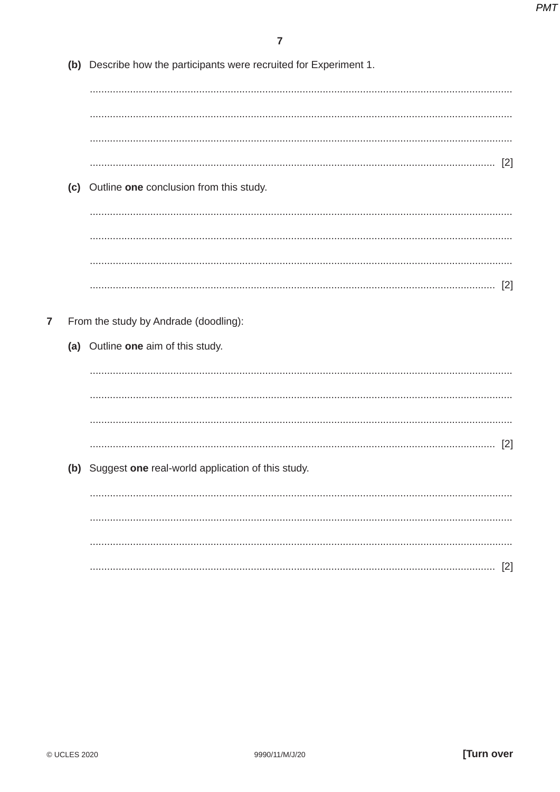|                          | (b) Describe how the participants were recruited for Experiment 1. |  |
|--------------------------|--------------------------------------------------------------------|--|
|                          |                                                                    |  |
|                          |                                                                    |  |
|                          |                                                                    |  |
|                          | (c) Outline one conclusion from this study.                        |  |
|                          |                                                                    |  |
|                          |                                                                    |  |
|                          |                                                                    |  |
| $\overline{\phantom{a}}$ | From the study by Andrade (doodling):                              |  |
|                          | (a) Outline one aim of this study.                                 |  |
|                          |                                                                    |  |
|                          |                                                                    |  |
|                          | $[2]$                                                              |  |
|                          | (b) Suggest one real-world application of this study.              |  |
|                          |                                                                    |  |
|                          |                                                                    |  |
|                          | $[2]$                                                              |  |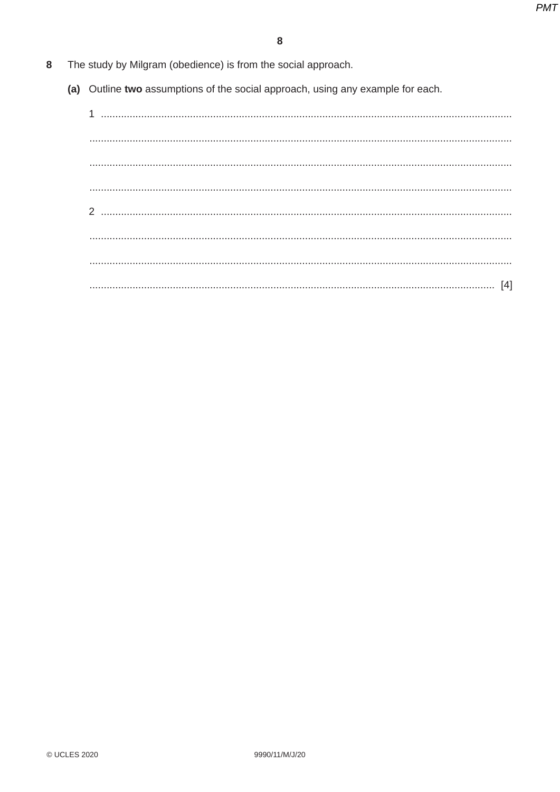- 8 The study by Milgram (obedience) is from the social approach.
	- (a) Outline two assumptions of the social approach, using any example for each.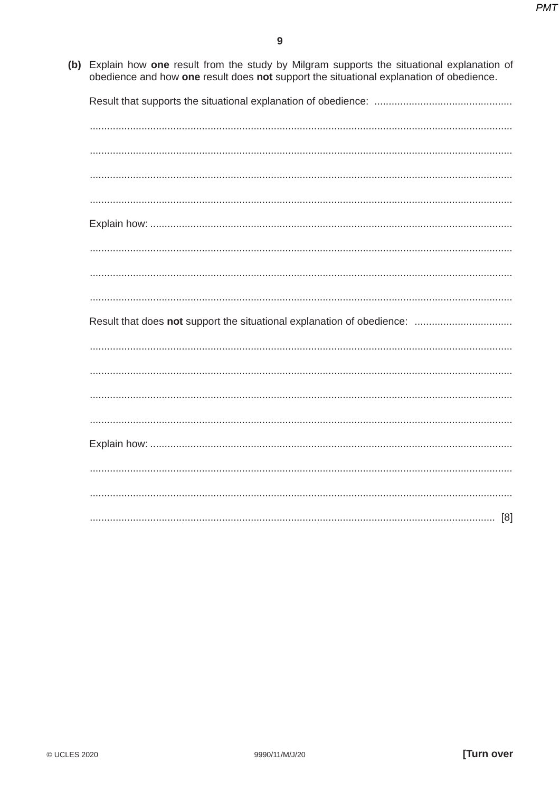(b) Explain how one result from the study by Milgram supports the situational explanation of obedience and how one result does not support the situational explanation of obedience.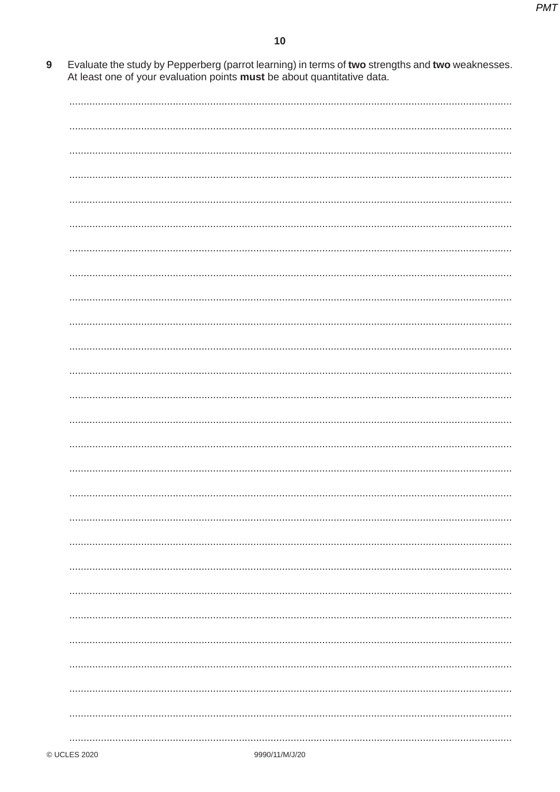Evaluate the study by Pepperberg (parrot learning) in terms of two strengths and two weaknesses.<br>At least one of your evaluation points must be about quantitative data.  $\boldsymbol{9}$ 

| ES 2020 | 0.000/11/11/11/20 |
|---------|-------------------|